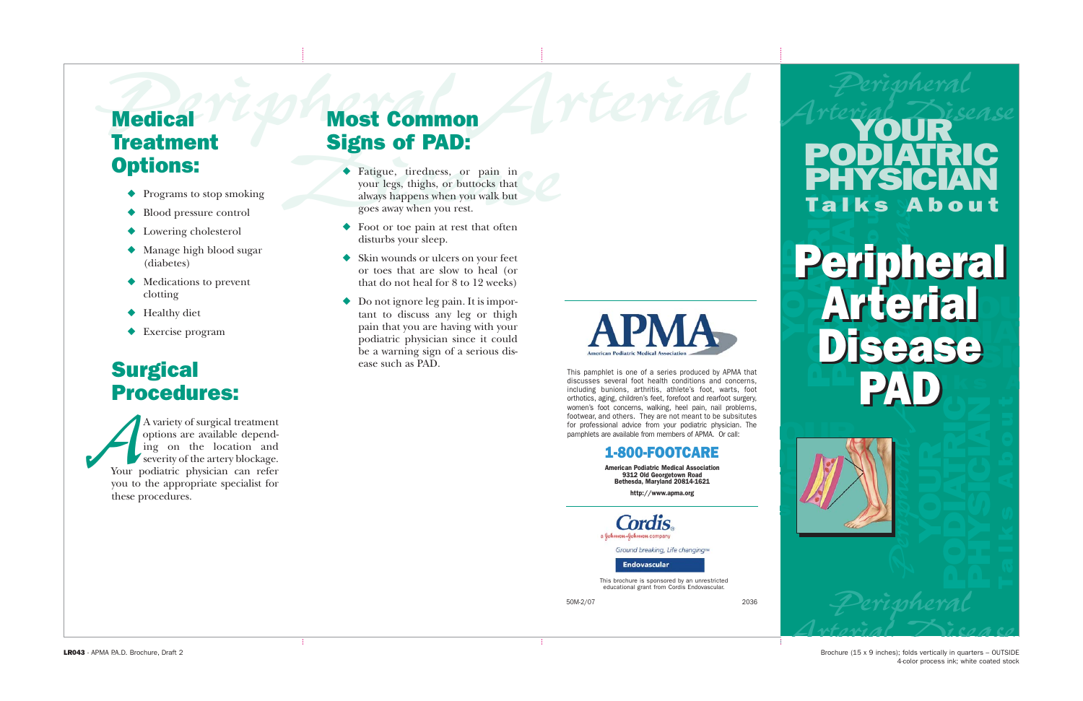### **Medical Treatment** Options:

- ◆ Programs to stop smoking
- ◆ Blood pressure control
- ◆ Lowering cholesterol
- ◆ Manage high blood sugar (diabetes)
- ◆ Medications to prevent clotting
- ◆ Healthy diet
- ◆ Exercise program

### **Surgical** Procedures:

A variety of surgical treatment options are available depending on the location and severity of the artery blockage. *A* variety of surgical treatment<br>options are available depend-<br>ing on the location and<br>severity of the artery blockage.<br>Your podiatric physician can refer you to the appropriate specialist for these procedures.

### Most Common Signs of PAD:

- **Signs of PAD:**<br>
Fatigue, tiredness, or pain in<br>
your legs, thighs, or buttocks that<br>
always happens when you walk but<br>
goes away when you rest.<br>
Foot or toe pain at rest that often<br>
disturbs your sleep. ◆ Fatigue, tiredness, or pain in your legs, thighs, or buttocks that always happens when you walk but goes away when you rest.
	- Foot or toe pain at rest that often disturbs your sleep.
	- Skin wounds or ulcers on your feet or toes that are slow to heal (or that do not heal for 8 to 12 weeks)
	- Do not ignore leg pain. It is important to discuss any leg or thigh pain that you are having with your podiatric physician since it could be a warning sign of a serious disease such as PAD.



This pamphlet is one of a series produced by APMA that discusses several foot health conditions and concerns, including bunions, arthritis, athlete's foot, warts, foot orthotics, aging, children's feet, forefoot and rearfoot surgery, women's foot concerns, walking, heel pain, nail problems, footwear, and others. They are not meant to be subsitutes for professional advice from your podiatric physician. The pamphlets are available from members of APMA. Or call:

#### 1-800-FOOTCARE

American Podiatric Medical Association 9312 Old Georgetown Road Bethesda, Maryland 20814-1621

http://www.apma.org

a Johnson-Johnson company

Ground breaking, Life changing™

**Endovascular** 

This brochure is sponsored by an unrestricted educational grant from Cordis Endovascular.

## **Medical** *Le Most Common* Arterial Arterial Peripheral **Research Arterial Pourter** YOUR PODIATRIC PHYSICIAN Talks About

# $\mathcal{L}(\ell)$  and  $\mathcal{L}(\ell)$ Arterial POPOLITICI<br>POPOLITICI Disease PAD **BEA Falks About**<br> **Peripheral**<br> **Disease**<br> **PAD**<br> *Peripheral* Peripheral Peripheral